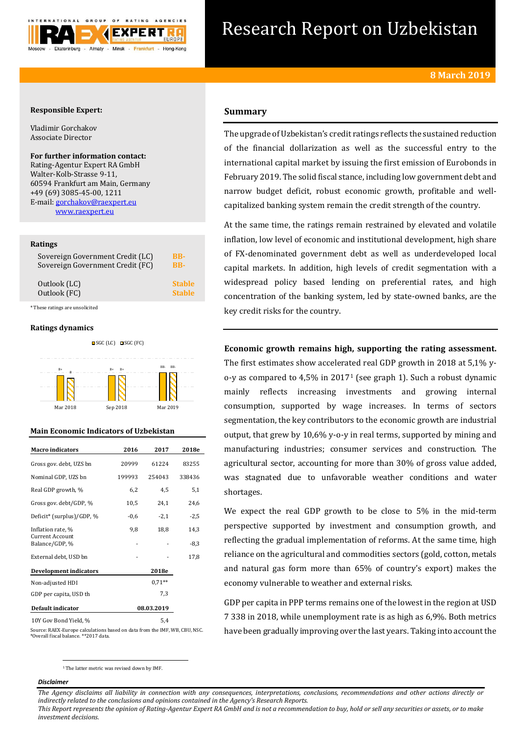

# Research Report on Uzbekistan

# **Responsible Expert:**

Vladimir Gorchakov Associate Director

**For further information contact:** Rating-Agentur Expert RA GmbH Walter-Kolb-Strasse 9-11, 60594 Frankfurt am Main, Germany +49 (69) 3085-45-00, 1211 E-mail[: gorchakov@raexpert.eu](mailto:gorchakov@raexpert.eu) [www.raexpert.eu](http://raexpert.eu/)

## **Ratings**

| Sovereign Government Credit (LC) | BB-           |
|----------------------------------|---------------|
| Sovereign Government Credit (FC) | <b>BB-</b>    |
| Outlook (LC)                     | <b>Stable</b> |
| Outlook (FC)                     | <b>Stable</b> |

\* These ratings are unsolicited

## **Ratings dynamics**





# **Main Economic Indicators of Uzbekistan**

| <b>Macro indicators</b>                  | 2016       | 2017     | 2018e  |
|------------------------------------------|------------|----------|--------|
| Gross gov. debt, UZS bn                  | 20999      | 61224    | 83255  |
| Nominal GDP, UZS bn                      | 199993     | 254043   | 338436 |
| Real GDP growth, %                       | 6,2        | 4,5      | 5,1    |
| Gross gov. debt/GDP, %                   | 10,5       | 24,1     | 24,6   |
| Deficit* (surplus)/GDP, %                | $-0,6$     | $-2,1$   | $-2,5$ |
| Inflation rate, %                        | 9,8        | 18,8     | 14,3   |
| <b>Current Account</b><br>Balance/GDP, % |            |          | $-8,3$ |
| External debt, USD bn                    |            |          | 17,8   |
| <b>Development indicators</b>            |            | 2018e    |        |
| Non-adjusted HDI                         |            | $0.71**$ |        |
| GDP per capita, USD th                   |            | 7,3      |        |
| Default indicator                        | 08.03.2019 |          |        |
| 10Y Gov Bond Yield, %                    | 5,4        |          |        |

Source: RAEX-Europe calculations based on data from the IMF, WB, CBU, NSC. \*Overall fiscal balance. \*\*2017 data.

# **Summary**

The upgrade of Uzbekistan's credit ratings reflects the sustained reduction of the financial dollarization as well as the successful entry to the international capital market by issuing the first emission of Eurobonds in February 2019. The solid fiscal stance, including low government debt and narrow budget deficit, robust economic growth, profitable and wellcapitalized banking system remain the credit strength of the country.

At the same time, the ratings remain restrained by elevated and volatile inflation, low level of economic and institutional development, high share of FX-denominated government debt as well as underdeveloped local capital markets. In addition, high levels of credit segmentation with a widespread policy based lending on preferential rates, and high concentration of the banking system, led by state-owned banks, are the key credit risks for the country.

# **Economic growth remains high, supporting the rating assessment.**

The first estimates show accelerated real GDP growth in 2018 at 5,1% yo-y as compared to 4,5% in 2017<sup>1</sup> (see graph 1). Such a robust dynamic mainly reflects increasing investments and growing internal consumption, supported by wage increases. In terms of sectors segmentation, the key contributors to the economic growth are industrial output, that grew by 10,6% y-o-y in real terms, supported by mining and manufacturing industries; consumer services and construction. The agricultural sector, accounting for more than 30% of gross value added, was stagnated due to unfavorable weather conditions and water shortages.

We expect the real GDP growth to be close to 5% in the mid-term perspective supported by investment and consumption growth, and reflecting the gradual implementation of reforms. At the same time, high reliance on the agricultural and commodities sectors (gold, cotton, metals and natural gas form more than 65% of country's export) makes the economy vulnerable to weather and external risks.

GDP per capita in PPP terms remains one of the lowest in the region at USD 7 338 in 2018, while unemployment rate is as high as 6,9%. Both metrics have been gradually improving over the last years. Taking into account the

 $\overline{a}$ <sup>1</sup> The latter metric was revised down by IMF.

## *Disclaimer*

*The Agency disclaims all liability in connection with any consequences, interpretations, conclusions, recommendations and other actions directly or indirectly related to the conclusions and opinions contained in the Agency's Research Reports.*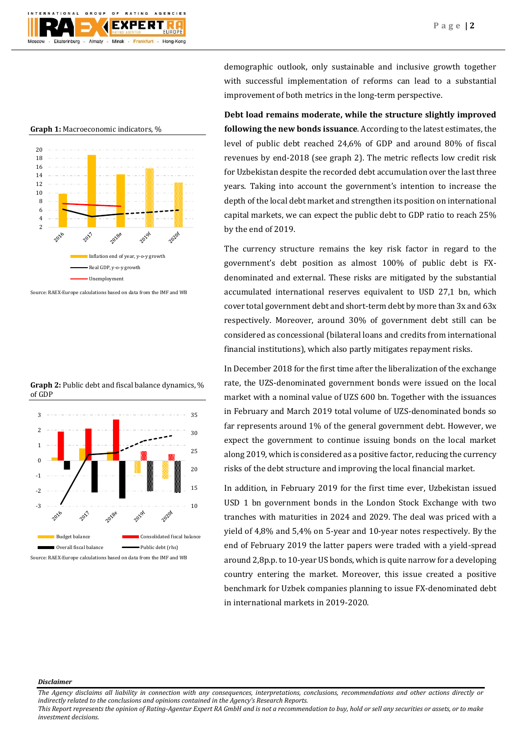

**Graph 1:** Macroeconomic indicators, %



Source: RAEX-Europe calculations based on data from the IMF and WB

**Graph 2:** Public debt and fiscal balance dynamics, % of GDP



Source: RAEX-Europe calculations based on data from the IMF and WB

demographic outlook, only sustainable and inclusive growth together with successful implementation of reforms can lead to a substantial improvement of both metrics in the long-term perspective.

**Debt load remains moderate, while the structure slightly improved following the new bonds issuance**. According to the latest estimates, the level of public debt reached 24,6% of GDP and around 80% of fiscal revenues by end-2018 (see graph 2). The metric reflects low credit risk for Uzbekistan despite the recorded debt accumulation over the last three years. Taking into account the government's intention to increase the depth of the local debt market and strengthen its position on international capital markets, we can expect the public debt to GDP ratio to reach 25% by the end of 2019.

The currency structure remains the key risk factor in regard to the government's debt position as almost 100% of public debt is FXdenominated and external. These risks are mitigated by the substantial accumulated international reserves equivalent to USD 27,1 bn, which cover total government debt and short-term debt by more than 3x and 63x respectively. Moreover, around 30% of government debt still can be considered as concessional (bilateral loans and credits from international financial institutions), which also partly mitigates repayment risks.

In December 2018 for the first time after the liberalization of the exchange rate, the UZS-denominated government bonds were issued on the local market with a nominal value of UZS 600 bn. Together with the issuances in February and March 2019 total volume of UZS-denominated bonds so far represents around 1% of the general government debt. However, we expect the government to continue issuing bonds on the local market along 2019, which is considered as a positive factor, reducing the currency risks of the debt structure and improving the local financial market.

In addition, in February 2019 for the first time ever, Uzbekistan issued USD 1 bn government bonds in the London Stock Exchange with two tranches with maturities in 2024 and 2029. The deal was priced with a yield of 4,8% and 5,4% on 5-year and 10-year notes respectively. By the end of February 2019 the latter papers were traded with a yield-spread around 2,8p.p. to 10-year US bonds, which is quite narrow for a developing country entering the market. Moreover, this issue created a positive benchmark for Uzbek companies planning to issue FX-denominated debt in international markets in 2019-2020.

## *Disclaimer*

*The Agency disclaims all liability in connection with any consequences, interpretations, conclusions, recommendations and other actions directly or indirectly related to the conclusions and opinions contained in the Agency's Research Reports.*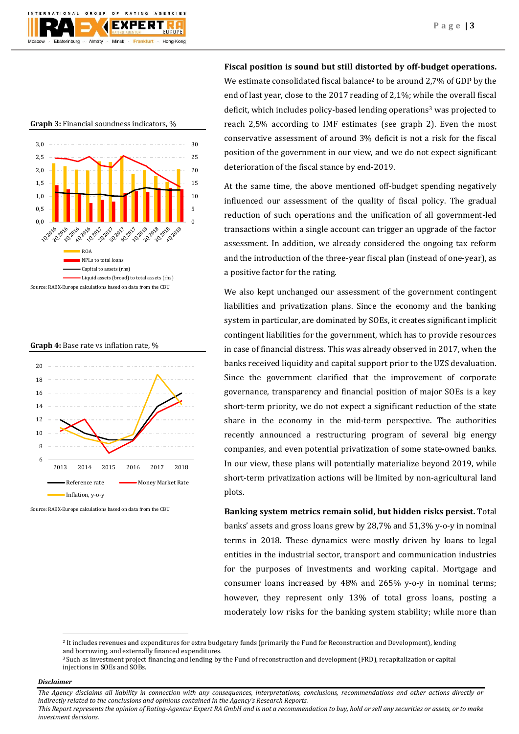

**Graph 3:** Financial soundness indicators, %







Source: RAEX-Europe calculations based on data from the CBU

**Fiscal position is sound but still distorted by off-budget operations.**  We estimate consolidated fiscal balance<sup>2</sup> to be around 2,7% of GDP by the end of last year, close to the 2017 reading of 2,1%; while the overall fiscal deficit, which includes policy-based lending operations<sup>3</sup> was projected to reach 2,5% according to IMF estimates (see graph 2). Even the most conservative assessment of around 3% deficit is not a risk for the fiscal position of the government in our view, and we do not expect significant deterioration of the fiscal stance by end-2019.

At the same time, the above mentioned off-budget spending negatively influenced our assessment of the quality of fiscal policy. The gradual reduction of such operations and the unification of all government-led transactions within a single account can trigger an upgrade of the factor assessment. In addition, we already considered the ongoing tax reform and the introduction of the three-year fiscal plan (instead of one-year), as a positive factor for the rating.

We also kept unchanged our assessment of the government contingent liabilities and privatization plans. Since the economy and the banking system in particular, are dominated by SOEs, it creates significant implicit contingent liabilities for the government, which has to provide resources in case of financial distress. This was already observed in 2017, when the banks received liquidity and capital support prior to the UZS devaluation. Since the government clarified that the improvement of corporate governance, transparency and financial position of major SOEs is a key short-term priority, we do not expect a significant reduction of the state share in the economy in the mid-term perspective. The authorities recently announced a restructuring program of several big energy companies, and even potential privatization of some state-owned banks. In our view, these plans will potentially materialize beyond 2019, while short-term privatization actions will be limited by non-agricultural land plots.

**Banking system metrics remain solid, but hidden risks persist.** Total banks' assets and gross loans grew by 28,7% and 51,3% y-o-y in nominal terms in 2018. These dynamics were mostly driven by loans to legal entities in the industrial sector, transport and communication industries for the purposes of investments and working capital. Mortgage and consumer loans increased by 48% and 265% y-o-y in nominal terms; however, they represent only 13% of total gross loans, posting a moderately low risks for the banking system stability; while more than

## *Disclaimer*

1

*The Agency disclaims all liability in connection with any consequences, interpretations, conclusions, recommendations and other actions directly or indirectly related to the conclusions and opinions contained in the Agency's Research Reports.*

<sup>2</sup> It includes revenues and expenditures for extra budgetary funds (primarily the Fund for Reconstruction and Development), lending and borrowing, and externally financed expenditures.

<sup>&</sup>lt;sup>3</sup> Such as investment project financing and lending by the Fund of reconstruction and development (FRD), recapitalization or capital injections in SOEs and SOBs.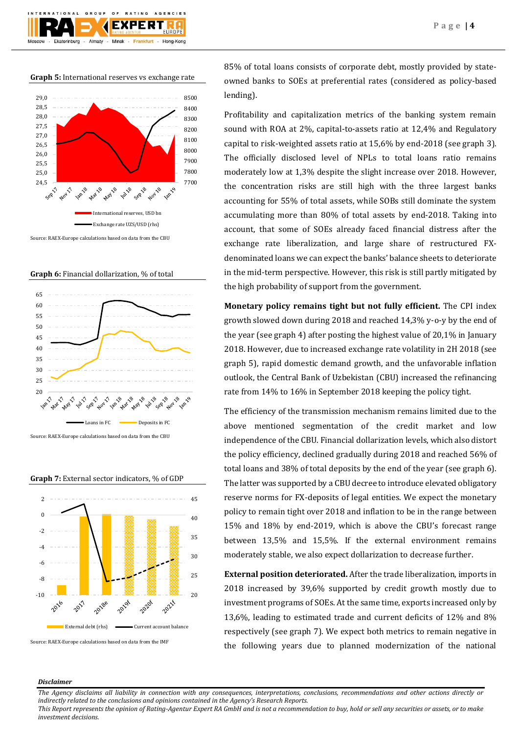

**Graph 5:** International reserves vs exchange rate



**Graph 6:** Financial dollarization, % of total



Source: RAEX-Europe calculations based on data from the CBU



**Graph 7:** External sector indicators, % of GDP

Source: RAEX-Europe calculations based on data from the IMF

85% of total loans consists of corporate debt, mostly provided by stateowned banks to SOEs at preferential rates (considered as policy-based lending).

Profitability and capitalization metrics of the banking system remain sound with ROA at 2%, capital-to-assets ratio at 12,4% and Regulatory capital to risk-weighted assets ratio at 15,6% by end-2018 (see graph 3). The officially disclosed level of NPLs to total loans ratio remains moderately low at 1,3% despite the slight increase over 2018. However, the concentration risks are still high with the three largest banks accounting for 55% of total assets, while SOBs still dominate the system accumulating more than 80% of total assets by end-2018. Taking into account, that some of SOEs already faced financial distress after the exchange rate liberalization, and large share of restructured FXdenominated loans we can expect the banks' balance sheets to deteriorate in the mid-term perspective. However, this risk is still partly mitigated by the high probability of support from the government.

**Monetary policy remains tight but not fully efficient.** The CPI index growth slowed down during 2018 and reached 14,3% y-o-y by the end of the year (see graph 4) after posting the highest value of 20,1% in January 2018. However, due to increased exchange rate volatility in 2H 2018 (see graph 5), rapid domestic demand growth, and the unfavorable inflation outlook, the Central Bank of Uzbekistan (CBU) increased the refinancing rate from 14% to 16% in September 2018 keeping the policy tight.

The efficiency of the transmission mechanism remains limited due to the above mentioned segmentation of the credit market and low independence of the CBU. Financial dollarization levels, which also distort the policy efficiency, declined gradually during 2018 and reached 56% of total loans and 38% of total deposits by the end of the year (see graph 6). The latter was supported by a CBU decree to introduce elevated obligatory reserve norms for FX-deposits of legal entities. We expect the monetary policy to remain tight over 2018 and inflation to be in the range between 15% and 18% by end-2019, which is above the CBU's forecast range between 13,5% and 15,5%. If the external environment remains moderately stable, we also expect dollarization to decrease further.

**External position deteriorated.** After the trade liberalization, imports in 2018 increased by 39,6% supported by credit growth mostly due to investment programs of SOEs. At the same time, exports increased only by 13,6%, leading to estimated trade and current deficits of 12% and 8% respectively (see graph 7). We expect both metrics to remain negative in the following years due to planned modernization of the national

## *Disclaimer*

*The Agency disclaims all liability in connection with any consequences, interpretations, conclusions, recommendations and other actions directly or indirectly related to the conclusions and opinions contained in the Agency's Research Reports.*